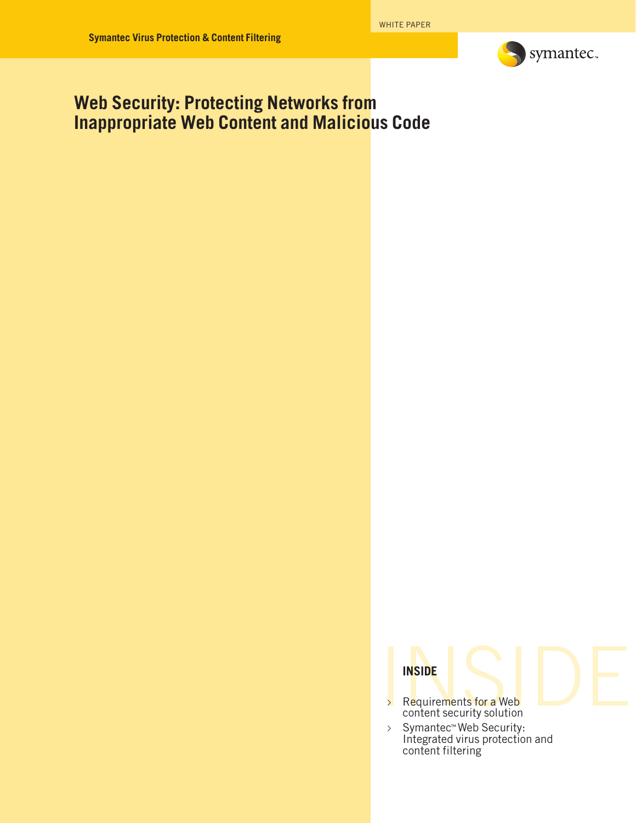

## **Web Security: Protecting Networks from Inappropriate Web Content and Malicious Code**

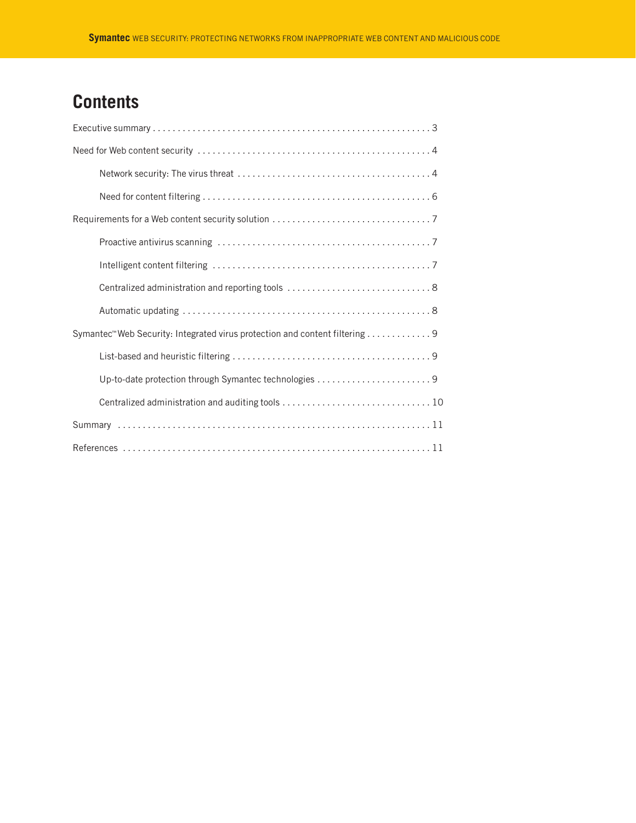# **Contents**

| Symantec <sup>™</sup> Web Security: Integrated virus protection and content filtering 9 |
|-----------------------------------------------------------------------------------------|
|                                                                                         |
|                                                                                         |
|                                                                                         |
|                                                                                         |
|                                                                                         |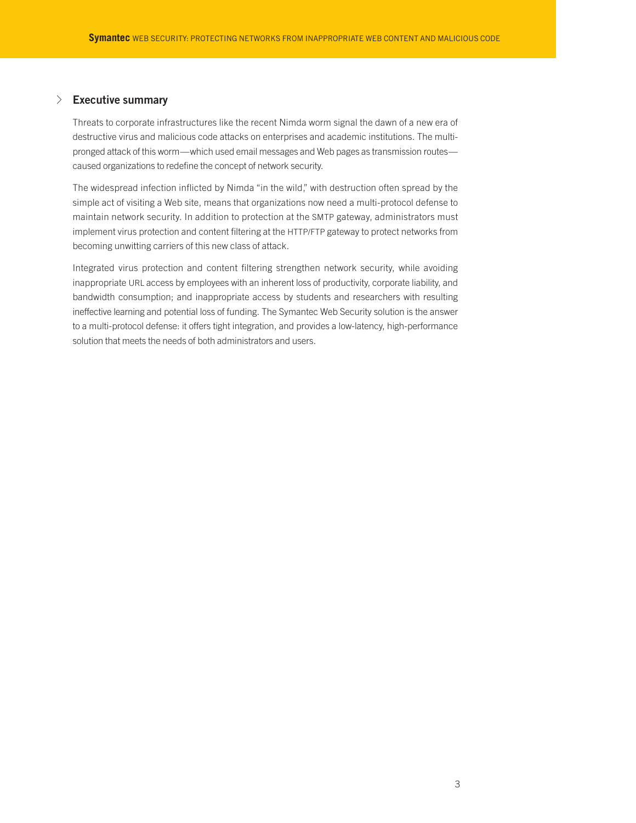## √ **Executive summary**

Threats to corporate infrastructures like the recent Nimda worm signal the dawn of a new era of destructive virus and malicious code attacks on enterprises and academic institutions. The multipronged attack of this worm—which used email messages and Web pages as transmission routes caused organizations to redefine the concept of network security.

The widespread infection inflicted by Nimda "in the wild," with destruction often spread by the simple act of visiting a Web site, means that organizations now need a multi-protocol defense to maintain network security. In addition to protection at the SMTP gateway, administrators must implement virus protection and content filtering at the HTTP/FTP gateway to protect networks from becoming unwitting carriers of this new class of attack.

Integrated virus protection and content filtering strengthen network security, while avoiding inappropriate URL access by employees with an inherent loss of productivity, corporate liability, and bandwidth consumption; and inappropriate access by students and researchers with resulting ineffective learning and potential loss of funding. The Symantec Web Security solution is the answer to a multi-protocol defense: it offers tight integration, and provides a low-latency, high-performance solution that meets the needs of both administrators and users.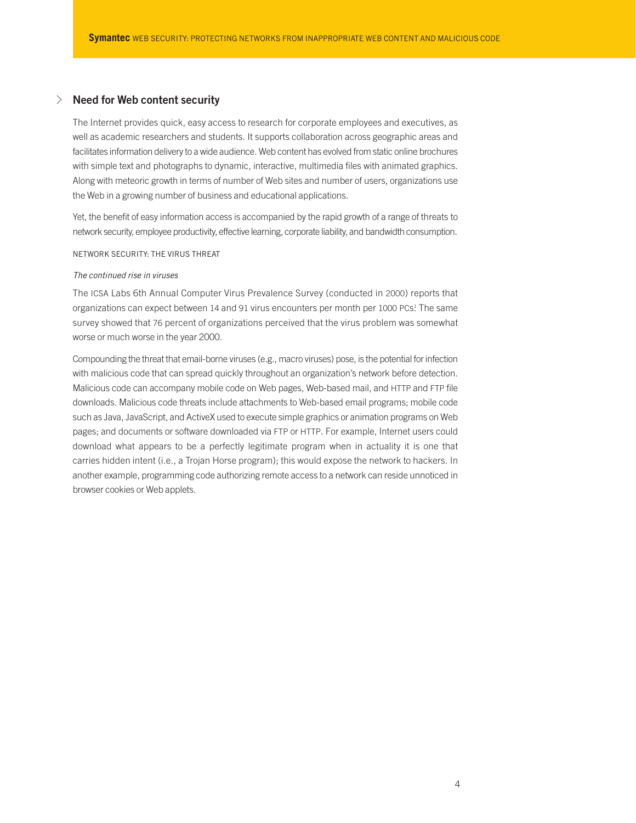## √ **Need for Web content security**

The Internet provides quick, easy access to research for corporate employees and executives, as well as academic researchers and students. It supports collaboration across geographic areas and facilitates information delivery to a wide audience. Web content has evolved from static online brochures with simple text and photographs to dynamic, interactive, multimedia files with animated graphics. Along with meteoric growth in terms of number of Web sites and number of users, organizations use the Web in a growing number of business and educational applications.

Yet, the benefit of easy information access is accompanied by the rapid growth of a range of threats to network security, employee productivity, effective learning, corporate liability, and bandwidth consumption.

#### NETWORK SECURITY: THE VIRUS THREAT

### *The continued rise in viruses*

The ICSA Labs 6th Annual Computer Virus Prevalence Survey (conducted in 2000) reports that organizations can expect between 14 and 91 virus encounters per month per 1000 PCs! The same survey showed that 76 percent of organizations perceived that the virus problem was somewhat worse or much worse in the year 2000.

Compounding the threat that email-borne viruses (e.g., macro viruses) pose, is the potential for infection with malicious code that can spread quickly throughout an organization's network before detection. Malicious code can accompany mobile code on Web pages, Web-based mail, and HTTP and FTP file downloads. Malicious code threats include attachments to Web-based email programs; mobile code such as Java, JavaScript, and ActiveX used to execute simple graphics or animation programs on Web pages; and documents or software downloaded via FTP or HTTP. For example, Internet users could download what appears to be a perfectly legitimate program when in actuality it is one that carries hidden intent (i.e., a Trojan Horse program); this would expose the network to hackers. In another example, programming code authorizing remote access to a network can reside unnoticed in browser cookies or Web applets.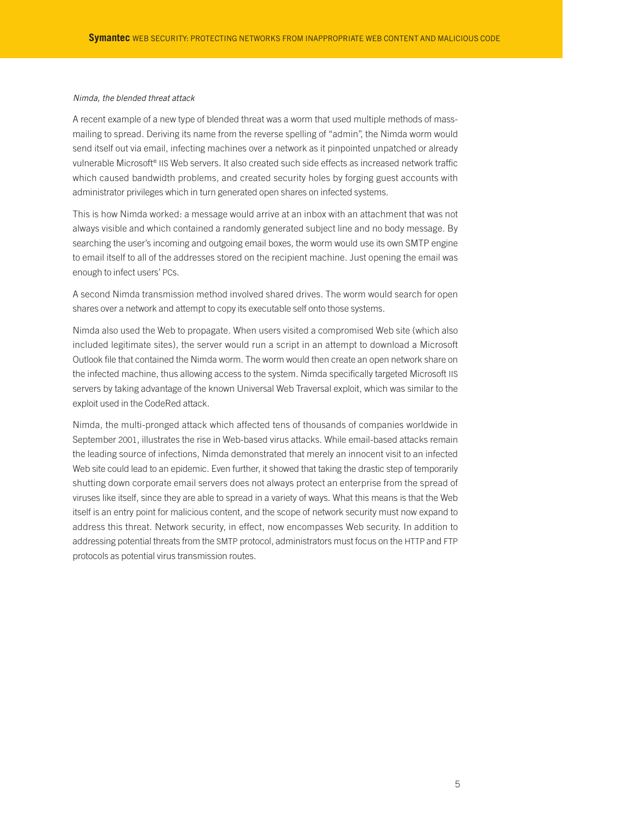#### *Nimda, the blended threat attack*

A recent example of a new type of blended threat was a worm that used multiple methods of massmailing to spread. Deriving its name from the reverse spelling of "admin", the Nimda worm would send itself out via email, infecting machines over a network as it pinpointed unpatched or already vulnerable Microsoft® IIS Web servers. It also created such side effects as increased network traffic which caused bandwidth problems, and created security holes by forging guest accounts with administrator privileges which in turn generated open shares on infected systems.

This is how Nimda worked: a message would arrive at an inbox with an attachment that was not always visible and which contained a randomly generated subject line and no body message. By searching the user's incoming and outgoing email boxes, the worm would use its own SMTP engine to email itself to all of the addresses stored on the recipient machine. Just opening the email was enough to infect users' PCs.

A second Nimda transmission method involved shared drives. The worm would search for open shares over a network and attempt to copy its executable self onto those systems.

Nimda also used the Web to propagate. When users visited a compromised Web site (which also included legitimate sites), the server would run a script in an attempt to download a Microsoft Outlook file that contained the Nimda worm. The worm would then create an open network share on the infected machine, thus allowing access to the system. Nimda specifically targeted Microsoft IIS servers by taking advantage of the known Universal Web Traversal exploit, which was similar to the exploit used in the CodeRed attack.

Nimda, the multi-pronged attack which affected tens of thousands of companies worldwide in September 2001, illustrates the rise in Web-based virus attacks. While email-based attacks remain the leading source of infections, Nimda demonstrated that merely an innocent visit to an infected Web site could lead to an epidemic. Even further, it showed that taking the drastic step of temporarily shutting down corporate email servers does not always protect an enterprise from the spread of viruses like itself, since they are able to spread in a variety of ways. What this means is that the Web itself is an entry point for malicious content, and the scope of network security must now expand to address this threat. Network security, in effect, now encompasses Web security. In addition to addressing potential threats from the SMTP protocol, administrators must focus on the HTTP and FTP protocols as potential virus transmission routes.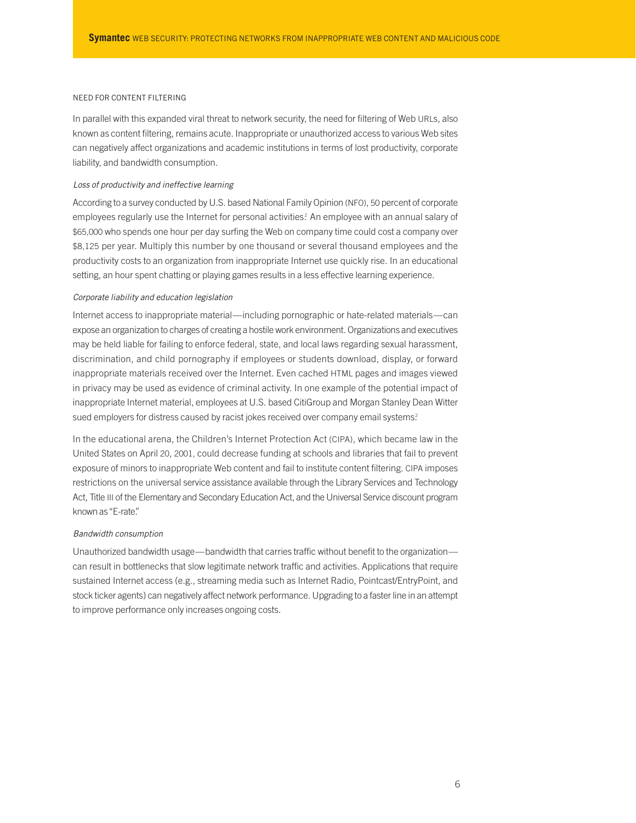#### NEED FOR CONTENT FILTERING

In parallel with this expanded viral threat to network security, the need for filtering of Web URLs, also known as content filtering, remains acute. Inappropriate or unauthorized access to various Web sites can negatively affect organizations and academic institutions in terms of lost productivity, corporate liability, and bandwidth consumption.

#### *Loss of productivity and ineffective learning*

According to a survey conducted by U.S. based National Family Opinion (NFO), 50 percent of corporate employees regularly use the Internet for personal activities? An employee with an annual salary of \$65,000 who spends one hour per day surfing the Web on company time could cost a company over \$8,125 per year. Multiply this number by one thousand or several thousand employees and the productivity costs to an organization from inappropriate Internet use quickly rise. In an educational setting, an hour spent chatting or playing games results in a less effective learning experience.

#### *Corporate liability and education legislation*

Internet access to inappropriate material—including pornographic or hate-related materials—can expose an organization to charges of creating a hostile work environment. Organizations and executives may be held liable for failing to enforce federal, state, and local laws regarding sexual harassment, discrimination, and child pornography if employees or students download, display, or forward inappropriate materials received over the Internet. Even cached HTML pages and images viewed in privacy may be used as evidence of criminal activity. In one example of the potential impact of inappropriate Internet material, employees at U.S. based CitiGroup and Morgan Stanley Dean Witter sued employers for distress caused by racist jokes received over company email systems?

In the educational arena, the Children's Internet Protection Act (CIPA), which became law in the United States on April 20, 2001, could decrease funding at schools and libraries that fail to prevent exposure of minors to inappropriate Web content and fail to institute content filtering. CIPA imposes restrictions on the universal service assistance available through the Library Services and Technology Act, Title III of the Elementary and Secondary Education Act, and the Universal Service discount program known as "E-rate."

#### *Bandwidth consumption*

Unauthorized bandwidth usage—bandwidth that carries traffic without benefit to the organization can result in bottlenecks that slow legitimate network traffic and activities. Applications that require sustained Internet access (e.g., streaming media such as Internet Radio, Pointcast/EntryPoint, and stock ticker agents) can negatively affect network performance. Upgrading to a faster line in an attempt to improve performance only increases ongoing costs.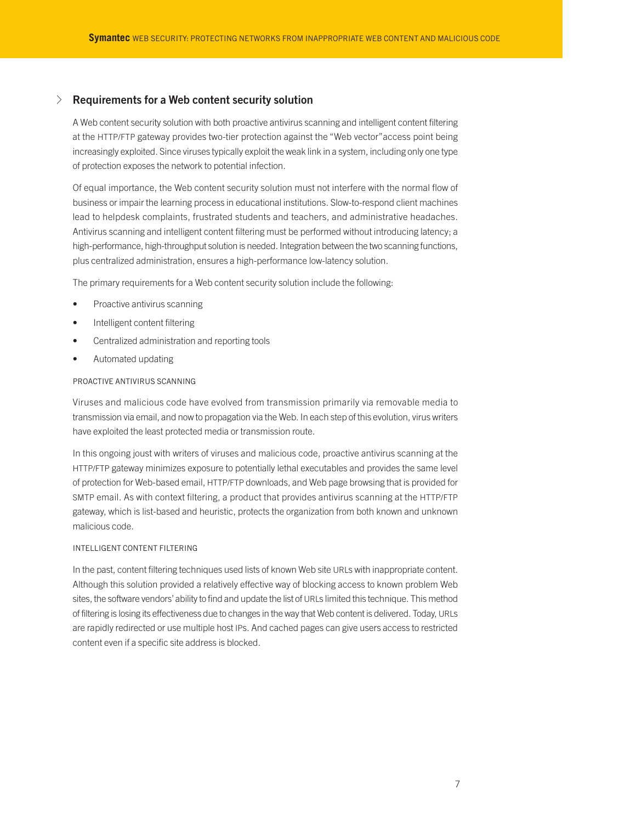## √ **Requirements for a Web content security solution**

A Web content security solution with both proactive antivirus scanning and intelligent content filtering at the HTTP/FTP gateway provides two-tier protection against the "Web vector"access point being increasingly exploited. Since viruses typically exploit the weak link in a system, including only one type of protection exposes the network to potential infection.

Of equal importance, the Web content security solution must not interfere with the normal flow of business or impair the learning process in educational institutions. Slow-to-respond client machines lead to helpdesk complaints, frustrated students and teachers, and administrative headaches. Antivirus scanning and intelligent content filtering must be performed without introducing latency; a high-performance, high-throughput solution is needed. Integration between the two scanning functions, plus centralized administration, ensures a high-performance low-latency solution.

The primary requirements for a Web content security solution include the following:

- Proactive antivirus scanning
- Intelligent content filtering
- Centralized administration and reporting tools
- Automated updating

#### PROACTIVE ANTIVIRUS SCANNING

Viruses and malicious code have evolved from transmission primarily via removable media to transmission via email, and now to propagation via the Web. In each step of this evolution, virus writers have exploited the least protected media or transmission route.

In this ongoing joust with writers of viruses and malicious code, proactive antivirus scanning at the HTTP/FTP gateway minimizes exposure to potentially lethal executables and provides the same level of protection for Web-based email, HTTP/FTP downloads, and Web page browsing that is provided for SMTP email. As with context filtering, a product that provides antivirus scanning at the HTTP/FTP gateway, which is list-based and heuristic, protects the organization from both known and unknown malicious code.

#### INTELLIGENT CONTENT FILTERING

In the past, content filtering techniques used lists of known Web site URLs with inappropriate content. Although this solution provided a relatively effective way of blocking access to known problem Web sites, the software vendors' ability to find and update the list of URLs limited this technique. This method of filtering is losing its effectiveness due to changes in the way that Web content is delivered. Today, URLs are rapidly redirected or use multiple host IPs. And cached pages can give users access to restricted content even if a specific site address is blocked.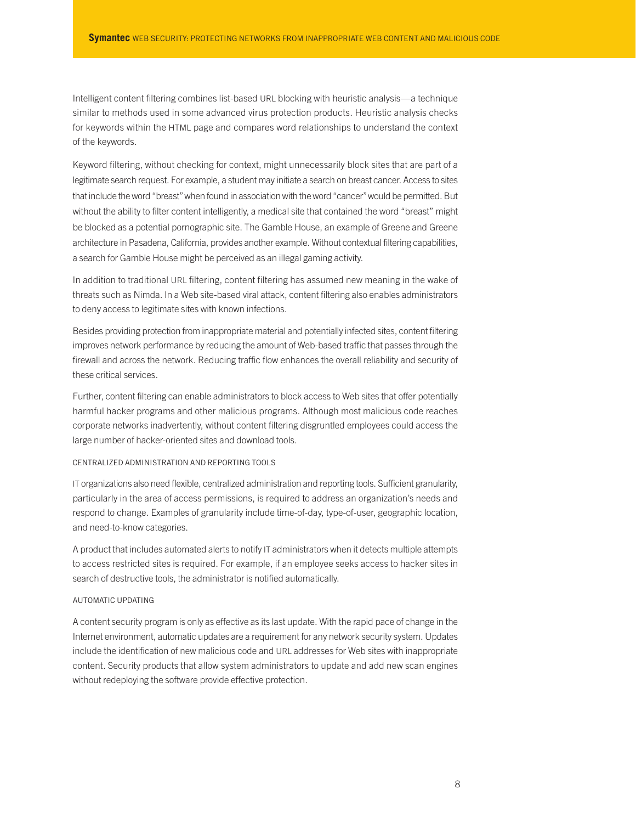Intelligent content filtering combines list-based URL blocking with heuristic analysis—a technique similar to methods used in some advanced virus protection products. Heuristic analysis checks for keywords within the HTML page and compares word relationships to understand the context of the keywords.

Keyword filtering, without checking for context, might unnecessarily block sites that are part of a legitimate search request. For example, a student may initiate a search on breast cancer. Access to sites that include the word "breast"when found in association with the word "cancer"would be permitted. But without the ability to filter content intelligently, a medical site that contained the word "breast" might be blocked as a potential pornographic site. The Gamble House, an example of Greene and Greene architecture in Pasadena, California, provides another example. Without contextual filtering capabilities, a search for Gamble House might be perceived as an illegal gaming activity.

In addition to traditional URL filtering, content filtering has assumed new meaning in the wake of threats such as Nimda. In a Web site-based viral attack, content filtering also enables administrators to deny access to legitimate sites with known infections.

Besides providing protection from inappropriate material and potentially infected sites, content filtering improves network performance by reducing the amount of Web-based traffic that passes through the firewall and across the network. Reducing traffic flow enhances the overall reliability and security of these critical services.

Further, content filtering can enable administrators to block access to Web sites that offer potentially harmful hacker programs and other malicious programs. Although most malicious code reaches corporate networks inadvertently, without content filtering disgruntled employees could access the large number of hacker-oriented sites and download tools.

### CENTRALIZED ADMINISTRATION AND REPORTING TOOLS

IT organizations also need flexible, centralized administration and reporting tools. Sufficient granularity, particularly in the area of access permissions, is required to address an organization's needs and respond to change. Examples of granularity include time-of-day, type-of-user, geographic location, and need-to-know categories.

A product that includes automated alerts to notify IT administrators when it detects multiple attempts to access restricted sites is required. For example, if an employee seeks access to hacker sites in search of destructive tools, the administrator is notified automatically.

#### AUTOMATIC UPDATING

A content security program is only as effective as its last update. With the rapid pace of change in the Internet environment, automatic updates are a requirement for any network security system. Updates include the identification of new malicious code and URL addresses for Web sites with inappropriate content. Security products that allow system administrators to update and add new scan engines without redeploying the software provide effective protection.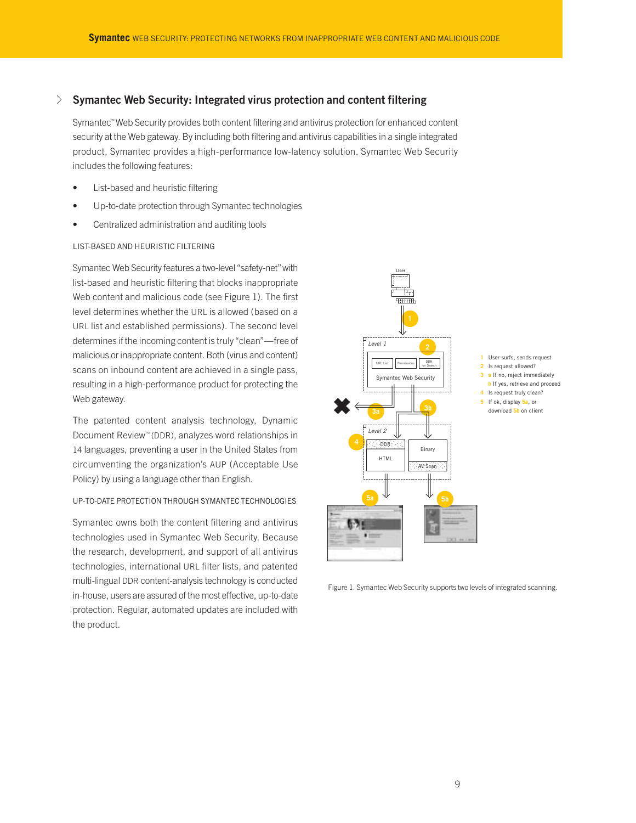## √ **Symantec Web Security: Integrated virus protection and content filtering**

Symantec™ Web Security provides both content filtering and antivirus protection for enhanced content security at the Web gateway. By including both filtering and antivirus capabilities in a single integrated product, Symantec provides a high-performance low-latency solution. Symantec Web Security includes the following features:

- List-based and heuristic filtering
- Up-to-date protection through Symantec technologies
- Centralized administration and auditing tools

#### LIST-BASED AND HEURISTIC FILTERING

Symantec Web Security features a two-level "safety-net" with list-based and heuristic filtering that blocks inappropriate Web content and malicious code (see Figure 1). The first level determines whether the URL is allowed (based on a URL list and established permissions). The second level determines if the incoming content is truly"clean"—free of malicious or inappropriate content. Both (virus and content) scans on inbound content are achieved in a single pass, resulting in a high-performance product for protecting the Web gateway.

The patented content analysis technology, Dynamic Document Review™ (DDR), analyzes word relationships in 14 languages, preventing a user in the United States from circumventing the organization's AUP (Acceptable Use Policy) by using a language other than English.

#### UP-TO-DATE PROTECTION THROUGH SYMANTEC TECHNOLOGIES

Symantec owns both the content filtering and antivirus technologies used in Symantec Web Security. Because the research, development, and support of all antivirus technologies, international URL filter lists, and patented multi-lingual DDR content-analysis technology is conducted in-house, users are assured of the most effective, up-to-date protection. Regular, automated updates are included with the product.



Figure 1. Symantec Web Security supports two levels of integrated scanning.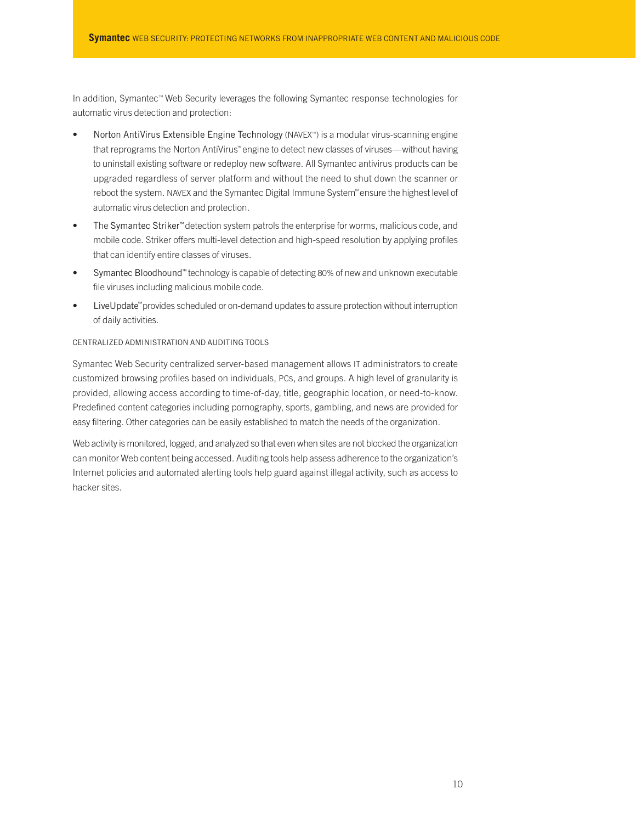In addition, Symantec™ Web Security leverages the following Symantec response technologies for automatic virus detection and protection:

- Norton AntiVirus Extensible Engine Technology (NAVEX™) is a modular virus-scanning engine that reprograms the Norton AntiVirus™engine to detect new classes of viruses—without having to uninstall existing software or redeploy new software. All Symantec antivirus products can be upgraded regardless of server platform and without the need to shut down the scanner or reboot the system. NAVEX and the Symantec Digital Immune System™ensure the highest level of automatic virus detection and protection.
- The Symantec Striker™ detection system patrols the enterprise for worms, malicious code, and mobile code. Striker offers multi-level detection and high-speed resolution by applying profiles that can identify entire classes of viruses.
- Symantec Bloodhound™ technology is capable of detecting 80% of new and unknown executable file viruses including malicious mobile code.
- LiveUpdate™provides scheduled or on-demand updates to assure protection without interruption of daily activities.

#### CENTRALIZED ADMINISTRATION AND AUDITING TOOLS

Symantec Web Security centralized server-based management allows IT administrators to create customized browsing profiles based on individuals, PCs, and groups. A high level of granularity is provided, allowing access according to time-of-day, title, geographic location, or need-to-know. Predefined content categories including pornography, sports, gambling, and news are provided for easy filtering. Other categories can be easily established to match the needs of the organization.

Web activity is monitored, logged, and analyzed so that even when sites are not blocked the organization can monitor Web content being accessed. Auditing tools help assess adherence to the organization's Internet policies and automated alerting tools help guard against illegal activity, such as access to hacker sites.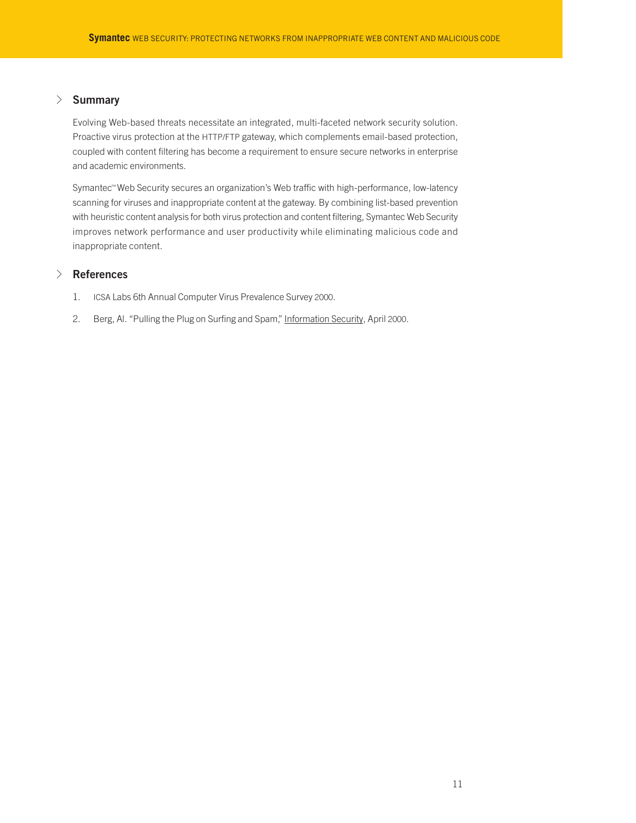## √ **Summary**

Evolving Web-based threats necessitate an integrated, multi-faceted network security solution. Proactive virus protection at the HTTP/FTP gateway, which complements email-based protection, coupled with content filtering has become a requirement to ensure secure networks in enterprise and academic environments.

Symantec™ Web Security secures an organization's Web traffic with high-performance, low-latency scanning for viruses and inappropriate content at the gateway. By combining list-based prevention with heuristic content analysis for both virus protection and content filtering, Symantec Web Security improves network performance and user productivity while eliminating malicious code and inappropriate content.

## √ **References**

- 1. ICSA Labs 6th Annual Computer Virus Prevalence Survey 2000.
- 2. Berg, Al. "Pulling the Plug on Surfing and Spam," Information Security, April 2000.